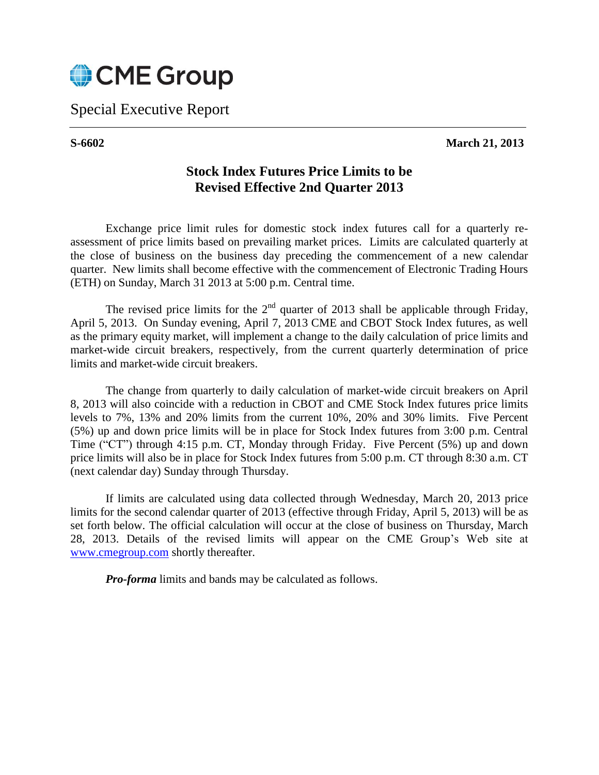

Special Executive Report

## **S-6602 March 21, 2013**

## **Stock Index Futures Price Limits to be Revised Effective 2nd Quarter 2013**

Exchange price limit rules for domestic stock index futures call for a quarterly reassessment of price limits based on prevailing market prices. Limits are calculated quarterly at the close of business on the business day preceding the commencement of a new calendar quarter. New limits shall become effective with the commencement of Electronic Trading Hours (ETH) on Sunday, March 31 2013 at 5:00 p.m. Central time.

The revised price limits for the  $2<sup>nd</sup>$  quarter of 2013 shall be applicable through Friday, April 5, 2013. On Sunday evening, April 7, 2013 CME and CBOT Stock Index futures, as well as the primary equity market, will implement a change to the daily calculation of price limits and market-wide circuit breakers, respectively, from the current quarterly determination of price limits and market-wide circuit breakers.

The change from quarterly to daily calculation of market-wide circuit breakers on April 8, 2013 will also coincide with a reduction in CBOT and CME Stock Index futures price limits levels to 7%, 13% and 20% limits from the current 10%, 20% and 30% limits. Five Percent (5%) up and down price limits will be in place for Stock Index futures from 3:00 p.m. Central Time ("CT") through 4:15 p.m. CT, Monday through Friday. Five Percent (5%) up and down price limits will also be in place for Stock Index futures from 5:00 p.m. CT through 8:30 a.m. CT (next calendar day) Sunday through Thursday.

If limits are calculated using data collected through Wednesday, March 20, 2013 price limits for the second calendar quarter of 2013 (effective through Friday, April 5, 2013) will be as set forth below. The official calculation will occur at the close of business on Thursday, March 28, 2013. Details of the revised limits will appear on the CME Group's Web site at [www.cmegroup.com](http://www.cmegroup.com/) shortly thereafter.

*Pro-forma* limits and bands may be calculated as follows.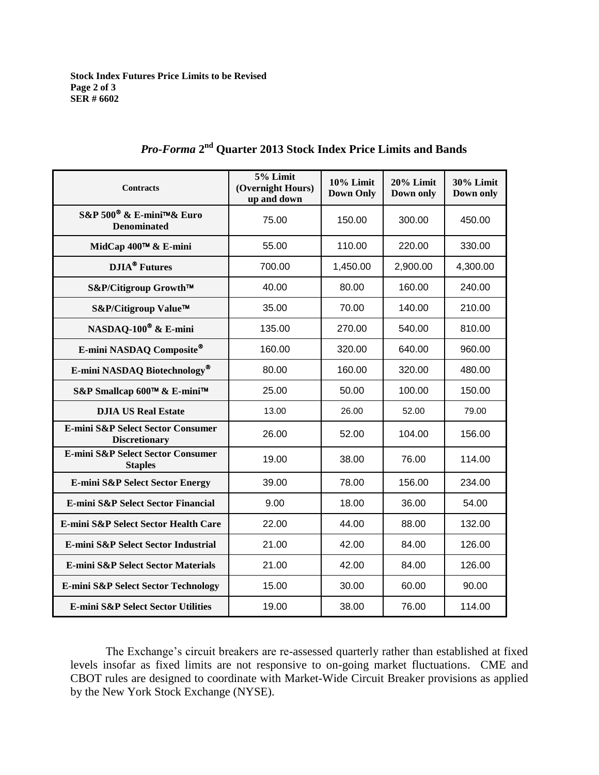**Stock Index Futures Price Limits to be Revised Page 2 of 3 SER # 6602**

| <b>Contracts</b>                                               | 5% Limit<br>(Overnight Hours)<br>up and down | 10% Limit<br><b>Down Only</b> | 20% Limit<br>Down only | 30% Limit<br>Down only |
|----------------------------------------------------------------|----------------------------------------------|-------------------------------|------------------------|------------------------|
| S&P 500 <sup>®</sup> & E-mini™& Euro<br><b>Denominated</b>     | 75.00                                        | 150.00                        | 300.00                 | 450.00                 |
| MidCap 400™ & E-mini                                           | 55.00                                        | 110.00                        | 220.00                 | 330.00                 |
| <b>DJIA<sup>®</sup></b> Futures                                | 700.00                                       | 1,450.00                      | 2,900.00               | 4,300.00               |
| S&P/Citigroup Growth™                                          | 40.00                                        | 80.00                         | 160.00                 | 240.00                 |
| S&P/Citigroup Value™                                           | 35.00                                        | 70.00                         | 140.00                 | 210.00                 |
| NASDAQ-100 <sup>®</sup> & E-mini                               | 135.00                                       | 270.00                        | 540.00                 | 810.00                 |
| E-mini NASDAQ Composite®                                       | 160.00                                       | 320.00                        | 640.00                 | 960.00                 |
| E-mini NASDAQ Biotechnology®                                   | 80.00                                        | 160.00                        | 320.00                 | 480.00                 |
| S&P Smallcap 600™ & E-mini™                                    | 25.00                                        | 50.00                         | 100.00                 | 150.00                 |
| <b>DJIA US Real Estate</b>                                     | 13.00                                        | 26.00                         | 52.00                  | 79.00                  |
| E-mini S&P Select Sector Consumer<br><b>Discretionary</b>      | 26.00                                        | 52.00                         | 104.00                 | 156.00                 |
| <b>E-mini S&amp;P Select Sector Consumer</b><br><b>Staples</b> | 19.00                                        | 38.00                         | 76.00                  | 114.00                 |
| <b>E-mini S&amp;P Select Sector Energy</b>                     | 39.00                                        | 78.00                         | 156.00                 | 234.00                 |
| E-mini S&P Select Sector Financial                             | 9.00                                         | 18.00                         | 36.00                  | 54.00                  |
| E-mini S&P Select Sector Health Care                           | 22.00                                        | 44.00                         | 88.00                  | 132.00                 |
| E-mini S&P Select Sector Industrial                            | 21.00                                        | 42.00                         | 84.00                  | 126.00                 |
| <b>E-mini S&amp;P Select Sector Materials</b>                  | 21.00                                        | 42.00                         | 84.00                  | 126.00                 |
| E-mini S&P Select Sector Technology                            | 15.00                                        | 30.00                         | 60.00                  | 90.00                  |
| <b>E-mini S&amp;P Select Sector Utilities</b>                  | 19.00                                        | 38.00                         | 76.00                  | 114.00                 |

## *Pro-Forma* **2 nd Quarter 2013 Stock Index Price Limits and Bands**

The Exchange's circuit breakers are re-assessed quarterly rather than established at fixed levels insofar as fixed limits are not responsive to on-going market fluctuations. CME and CBOT rules are designed to coordinate with Market-Wide Circuit Breaker provisions as applied by the New York Stock Exchange (NYSE).